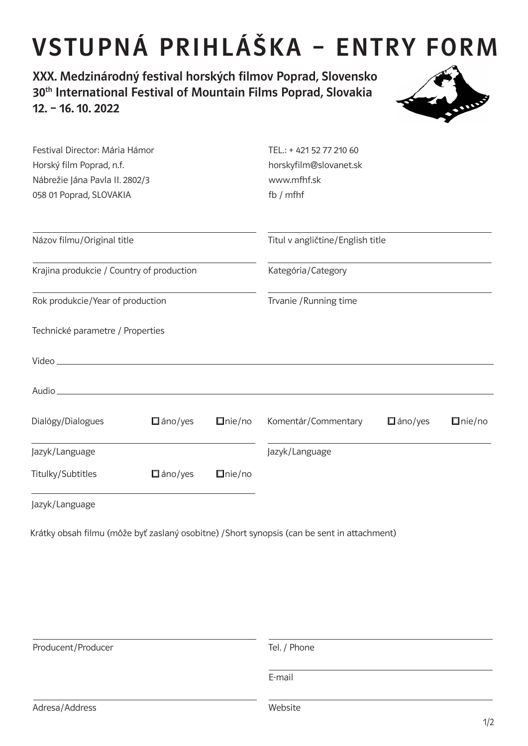## VSTUPNÁ PRIHLÁŠKA – ENTRY FORM

XXX. Medzinárodný festival horských filmov Poprad, Slovensko 30<sup>th</sup> International Festival of Mountain Films Poprad, Slovakia 12. – 16. 10. 2022



| Festival Director: Mária Hámor            |                                                                                                                      |               | TEL.: +421 52 77 210 60          |                |               |
|-------------------------------------------|----------------------------------------------------------------------------------------------------------------------|---------------|----------------------------------|----------------|---------------|
| Horský film Poprad, n.f.                  |                                                                                                                      |               | horskyfilm@slovanet.sk           |                |               |
| Nábrežie Jána Pavla II. 2802/3            |                                                                                                                      |               | www.mfhf.sk                      |                |               |
| 058 01 Poprad, SLOVAKIA                   |                                                                                                                      |               | fb $/$ mfhf                      |                |               |
| Názov filmu/Original title                |                                                                                                                      |               | Titul v angličtine/English title |                |               |
| Krajina produkcie / Country of production |                                                                                                                      |               | Kategória/Category               |                |               |
| Rok produkcie/Year of production          |                                                                                                                      |               | Trvanie / Running time           |                |               |
| Technické parametre / Properties          |                                                                                                                      |               |                                  |                |               |
|                                           |                                                                                                                      |               |                                  |                |               |
| Audio_                                    | <u> 1980 - Jan Stein Stein Stein Stein Stein Stein Stein Stein Stein Stein Stein Stein Stein Stein Stein Stein S</u> |               |                                  |                |               |
| Dialógy/Dialogues                         | $\Box$ áno/yes                                                                                                       | $\Box$ nie/no | Komentár/Commentary              | $\Box$ áno/yes | $\Box$ nie/no |
| Jazyk/Language                            |                                                                                                                      |               | Jazyk/Language                   |                |               |
| Titulky/Subtitles                         | $\Box$ áno/yes                                                                                                       | $\Box$ nie/no |                                  |                |               |
| Jazyk/Language                            |                                                                                                                      |               |                                  |                |               |

Krátky obsah filmu (môže byť zaslaný osobitne) /Short synopsis (can be sent in attachment)

| Producent/Producer | Tel. / Phone |  |
|--------------------|--------------|--|
|                    | E-mail       |  |
| Adresa/Address     | Website      |  |